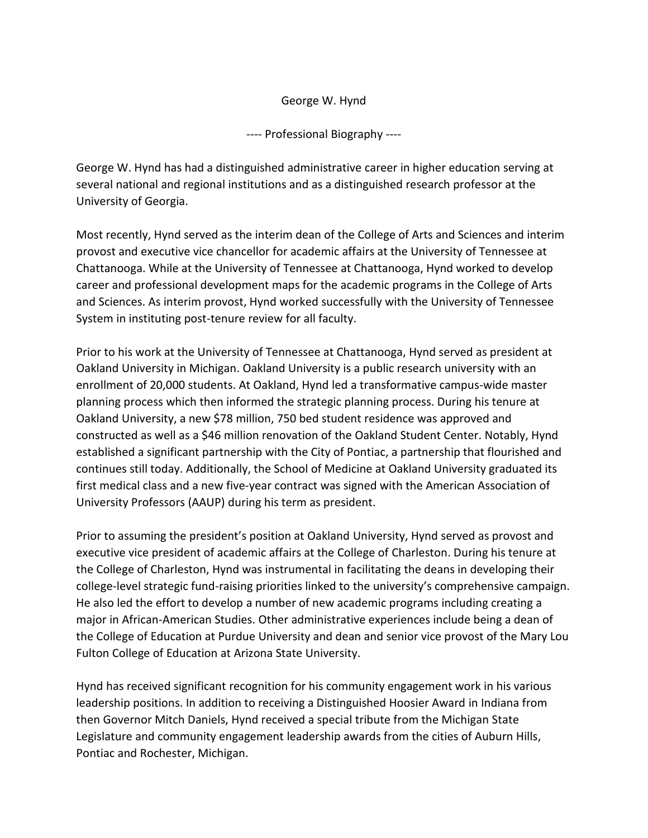## George W. Hynd

---- Professional Biography ----

George W. Hynd has had a distinguished administrative career in higher education serving at several national and regional institutions and as a distinguished research professor at the University of Georgia.

Most recently, Hynd served as the interim dean of the College of Arts and Sciences and interim provost and executive vice chancellor for academic affairs at the University of Tennessee at Chattanooga. While at the University of Tennessee at Chattanooga, Hynd worked to develop career and professional development maps for the academic programs in the College of Arts and Sciences. As interim provost, Hynd worked successfully with the University of Tennessee System in instituting post-tenure review for all faculty.

Prior to his work at the University of Tennessee at Chattanooga, Hynd served as president at Oakland University in Michigan. Oakland University is a public research university with an enrollment of 20,000 students. At Oakland, Hynd led a transformative campus-wide master planning process which then informed the strategic planning process. During his tenure at Oakland University, a new \$78 million, 750 bed student residence was approved and constructed as well as a \$46 million renovation of the Oakland Student Center. Notably, Hynd established a significant partnership with the City of Pontiac, a partnership that flourished and continues still today. Additionally, the School of Medicine at Oakland University graduated its first medical class and a new five-year contract was signed with the American Association of University Professors (AAUP) during his term as president.

Prior to assuming the president's position at Oakland University, Hynd served as provost and executive vice president of academic affairs at the College of Charleston. During his tenure at the College of Charleston, Hynd was instrumental in facilitating the deans in developing their college-level strategic fund-raising priorities linked to the university's comprehensive campaign. He also led the effort to develop a number of new academic programs including creating a major in African-American Studies. Other administrative experiences include being a dean of the College of Education at Purdue University and dean and senior vice provost of the Mary Lou Fulton College of Education at Arizona State University.

Hynd has received significant recognition for his community engagement work in his various leadership positions. In addition to receiving a Distinguished Hoosier Award in Indiana from then Governor Mitch Daniels, Hynd received a special tribute from the Michigan State Legislature and community engagement leadership awards from the cities of Auburn Hills, Pontiac and Rochester, Michigan.